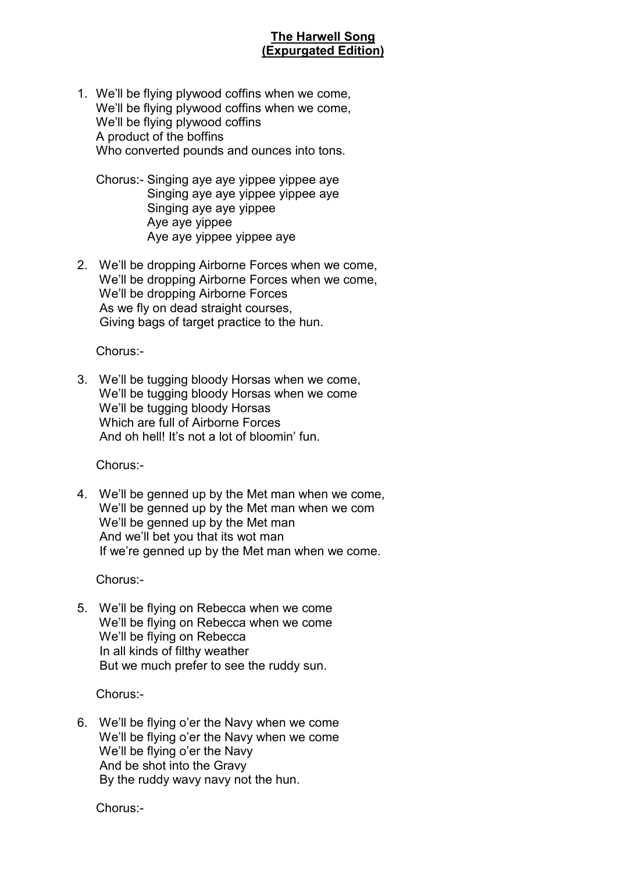## **The Harwell Song (Expurgated Edition)**

1. We'll be flying plywood coffins when we come, We'll be flying plywood coffins when we come, We'll be flying plywood coffins A product of the boffins Who converted pounds and ounces into tons.

 Chorus:- Singing aye aye yippee yippee aye Singing aye aye yippee yippee aye Singing aye aye yippee Aye aye yippee Aye aye yippee yippee aye

2. We'll be dropping Airborne Forces when we come, We'll be dropping Airborne Forces when we come, We'll be dropping Airborne Forces As we fly on dead straight courses, Giving bags of target practice to the hun.

Chorus:-

3. We'll be tugging bloody Horsas when we come, We'll be tugging bloody Horsas when we come We'll be tugging bloody Horsas Which are full of Airborne Forces And oh hell! It's not a lot of bloomin' fun.

Chorus:-

4. We'll be genned up by the Met man when we come, We'll be genned up by the Met man when we com We'll be genned up by the Met man And we'll bet you that its wot man If we're genned up by the Met man when we come.

Chorus:-

5. We'll be flying on Rebecca when we come We'll be flying on Rebecca when we come We'll be flying on Rebecca In all kinds of filthy weather But we much prefer to see the ruddy sun.

Chorus:-

6. We'll be flying o'er the Navy when we come We'll be flying o'er the Navy when we come We'll be flying o'er the Navy And be shot into the Gravy By the ruddy wavy navy not the hun.

Chorus:-